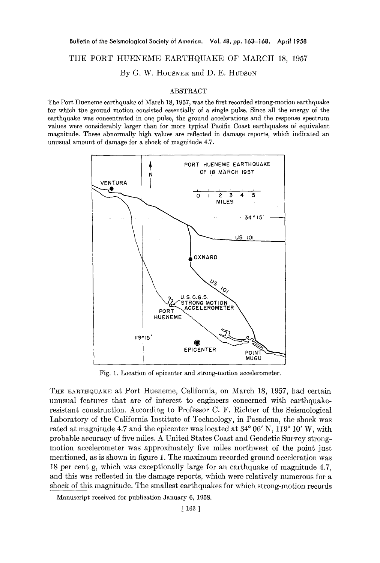## THE PORT HUENEME EARTHQUAKE OF MARCH 18, 1957

By G. W. HOUSNER and D. E. HUDSON

## ABSTRACT

The Port Hueneme earthquake of March 18, 1957, was the first recorded strong-motion earthquake for which the ground motion consisted essentially of a single pulse. Since all the energy of the earthquake was concentrated in one pulse, the ground accelerations and the response spectrum values were considerably larger than for more typical Pacific Coast earthquakes of equivalent magnitude. These abnormally high values are reflected in damage reports, which indicated an unusual amount of damage for a shock of magnitude 4.7.



Fig. 1. Location of epicenter and strong-motion accelerometer.

THE EARTHQUAKE at Port Hueneme, California, on March 18, 1957, had certain unusual features that are of interest to engineers concerned with earthquakeresistant construction. According to Professor C. F. Richter of the Seismological Laboratory of the California Institute of Technology, in Pasadena, the shock was rated at magnitude 4.7 and the epicenter was located at  $34^{\circ}$  06' N, 119 $^{\circ}$  10' W, with probable accuracy of five miles. A United States Coast and Geodetic Survey strongmotion accelerometer was approximately five miles northwest of the point just mentioned, as is shown in figure 1. The maximum recorded ground acceleration was 18 per cent g, which was exceptionally large for an earthquake of magnitude 4.7, and this was reflected in the damage reports, which were relatively numerous for a shock of this magnitude. The smallest earthquakes for which strong-motion records

Manuscript received for publication January 6, 1958.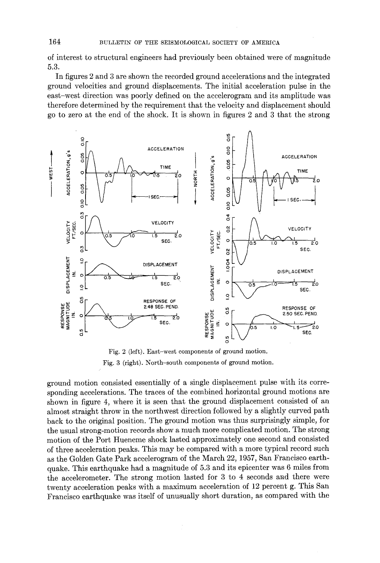**of interest to structural engineers had previously been obtained were of magnitude 5.3.** 

**In figures 2 and 3 are shown the recorded ground accelerations and the integrated ground velocities and ground displacements. The initial acceleration pulse in the east-west direction was poorly defined on the accelerogram and its amplitude was therefore determined by the requirement that the velocity and displacement should go to zero at the end of the shock. It is shown in figures 2 and 3 that the strong** 



Fig. 2 **(left). East-west components of ground motion.**  Fig. 3 **(right). North-south components of ground motion.** 

**ground motion consisted essentially of a single displacement pulse with its corresponding accelerations. The traces of the combined horizontal ground motions are shown in figure 4, where it is seen that the ground displacement consisted of an almost straight throw in the northwest direction followed by a slightly curved path back to the original position. The ground motion was thus surprisingly simple, for the usual strong-motion records show a much more complicated motion. The strong motion of the Port Hueneme shock lasted approximately one second and consisted of three acceleration peaks. This may be compared with a more typical record such as the Golden Gate Park accelerogram of the March 22, 1957, San Francisco earthquake. This earthquake had a magnitude of 5.3 and its epicenter was 6 miles from the accelerometer. The strong motion lasted for 3 to 4 seconds and there were twenty acceleration peaks with a maximum acceleration of 12 percent g. This San Francisco earthquake was itself of unusually short duration, as compared with the**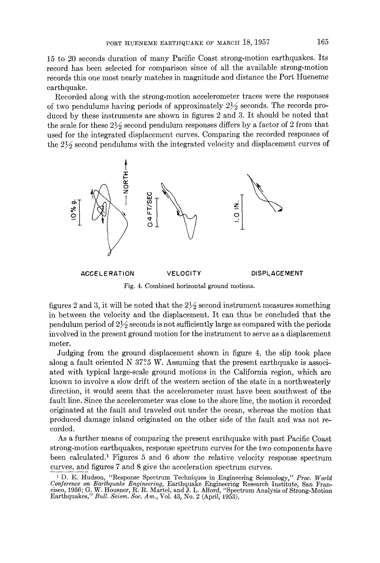15 to 20 seconds duration of many Pacific Coast strong-motion earthquakes. Its record has been selected for comparison since of all the available strong-motion records this one most nearly matches in magnitude and distance the Port Hueneme earthquake.

Recorded along with the strong-motion aceelerometer traces were the responses of two pendulums having periods of approximately  $2\frac{1}{2}$  seconds. The records produced by these instruments are shown in figures 2 and 3. It should be noted that the scale for these  $2\frac{1}{2}$  second pendulum responses differs by a factor of 2 from that used for the integrated displacement curves. Comparing the recorded responses of the  $2\frac{1}{2}$  second pendulums with the integrated velocity and displacement curves of



Fig. 4. Combined horizontal ground motions.

figures 2 and 3, it will be noted that the  $2\frac{1}{2}$  second instrument measures something in between the velocity and the displacement. It can thus be concluded that the pendulum period of  $2\frac{1}{2}$  seconds is not sufficiently large as compared with the periods involved in the present ground motion for the instrument to serve as a displacement meter.

Judging from the ground displacement shown in figure 4, the slip took place along a fault oriented N 37.°5 W. Assuming that the present earthquake is associated with typical large-scale ground motions in the California region, which are known to involve a slow drift of the western section of the state in a northwesterly direction, it would seem that the accelerometer must have been southwest of the fault line. Since the accelerometer was close to the shore line, the motion it recorded originated at the fault and traveled out under the ocean, whereas the motion that produced damage inland originated on the other side of the fault and was not recorded.

As a further means of comparing the present earthquake with past Pacific Coast strong-motion earthquakes, response spectrum curves for the two components have been calculated.<sup>1</sup> Figures 5 and 6 show the relative velocity response spectrum curves, and figures 7 and 8 give the acceleration spectrum curves.

<sup>1</sup> D. E. Hudson, "Response Spectrum Techniques in Engineering Seismology," *Proc. World Conference on Earthquake Engineering,* Earthquake Engineering Research Institute, San Francisco, 1956; G. W. Housner, R. R. Martel, and J. L. Alford, "Spectrum Analysis of Strong-Motion Earthquakes," *Bull. Seism. Soc. Am.,* Vol. 43~ No. 2 (April, 1953).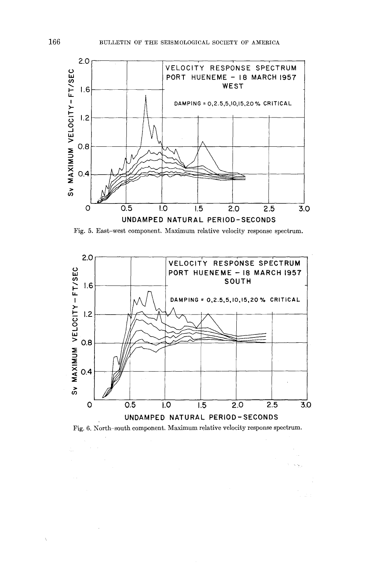

Fig. 5. East-west component. Maximum relative velocity response spectrum.



Fig. 6. North-south component. Maximum relative velocity response spectrum.

Ň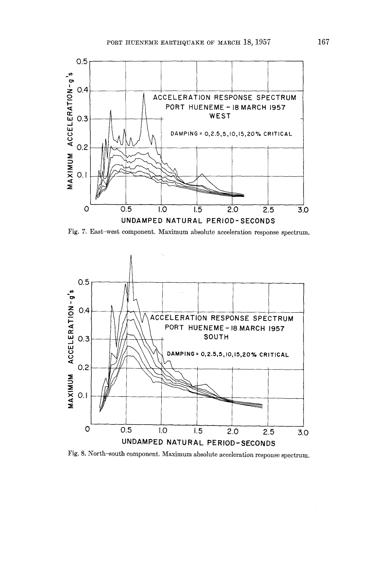

Fig. 7. East-west component. Maximum absolute acceleration response spectrum.



Fig. 8. North-south component. Maximum absolute acceleration response spectrum.